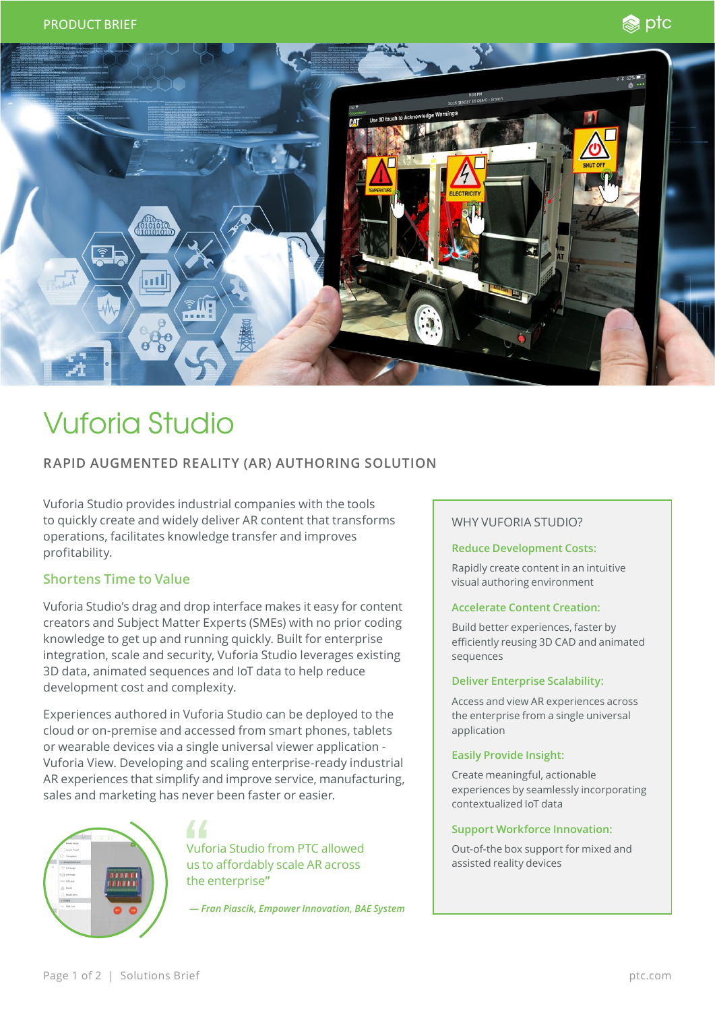



# Vuforia Studio

## **RAPID AUGMENTED REALITY (AR) AUTHORING SOLUTION**

Vuforia Studio provides industrial companies with the tools to quickly create and widely deliver AR content that transforms operations, facilitates knowledge transfer and improves profitability.

## **Shortens Time to Value**

Vuforia Studio's drag and drop interface makes it easy for content creators and Subject Matter Experts (SMEs) with no prior coding knowledge to get up and running quickly. Built for enterprise integration, scale and security, Vuforia Studio leverages existing 3D data, animated sequences and IoT data to help reduce development cost and complexity.

Experiences authored in Vuforia Studio can be deployed to the cloud or on-premise and accessed from smart phones, tablets or wearable devices via a single universal viewer application - Vuforia View. Developing and scaling enterprise-ready industrial AR experiences that simplify and improve service, manufacturing, sales and marketing has never been faster or easier.



Vuforia Studio from PTC allowed us to affordably scale AR across the enterprise**"**

**—** *Fran Piascik, Empower Innovation, BAE System*

## WHY VUFORIA STUDIO?

#### **Reduce Development Costs:**

Rapidly create content in an intuitive visual authoring environment

### **Accelerate Content Creation:**

Build better experiences, faster by efficiently reusing 3D CAD and animated sequences

#### **Deliver Enterprise Scalability:**

Access and view AR experiences across the enterprise from a single universal application

#### **Easily Provide Insight:**

Create meaningful, actionable experiences by seamlessly incorporating contextualized IoT data

#### **Support Workforce Innovation:**

Out-of-the box support for mixed and assisted reality devices